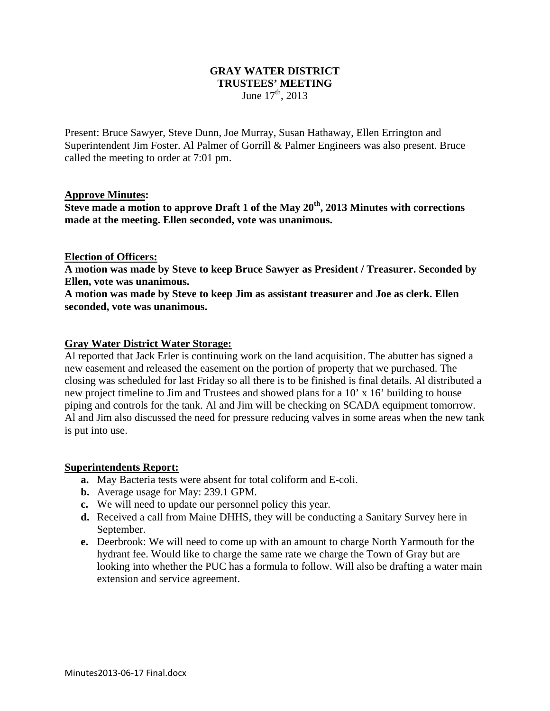## **GRAY WATER DISTRICT TRUSTEES' MEETING**  June  $17^{\text{th}}$ , 2013

Present: Bruce Sawyer, Steve Dunn, Joe Murray, Susan Hathaway, Ellen Errington and Superintendent Jim Foster. Al Palmer of Gorrill & Palmer Engineers was also present. Bruce called the meeting to order at 7:01 pm.

### **Approve Minutes:**

**Steve made a motion to approve Draft 1 of the May 20th, 2013 Minutes with corrections made at the meeting. Ellen seconded, vote was unanimous.** 

### **Election of Officers:**

**A motion was made by Steve to keep Bruce Sawyer as President / Treasurer. Seconded by Ellen, vote was unanimous.** 

**A motion was made by Steve to keep Jim as assistant treasurer and Joe as clerk. Ellen seconded, vote was unanimous.** 

### **Gray Water District Water Storage:**

Al reported that Jack Erler is continuing work on the land acquisition. The abutter has signed a new easement and released the easement on the portion of property that we purchased. The closing was scheduled for last Friday so all there is to be finished is final details. Al distributed a new project timeline to Jim and Trustees and showed plans for a 10' x 16' building to house piping and controls for the tank. Al and Jim will be checking on SCADA equipment tomorrow. Al and Jim also discussed the need for pressure reducing valves in some areas when the new tank is put into use.

#### **Superintendents Report:**

- **a.** May Bacteria tests were absent for total coliform and E-coli.
- **b.** Average usage for May: 239.1 GPM.
- **c.** We will need to update our personnel policy this year.
- **d.** Received a call from Maine DHHS, they will be conducting a Sanitary Survey here in September.
- **e.** Deerbrook: We will need to come up with an amount to charge North Yarmouth for the hydrant fee. Would like to charge the same rate we charge the Town of Gray but are looking into whether the PUC has a formula to follow. Will also be drafting a water main extension and service agreement.